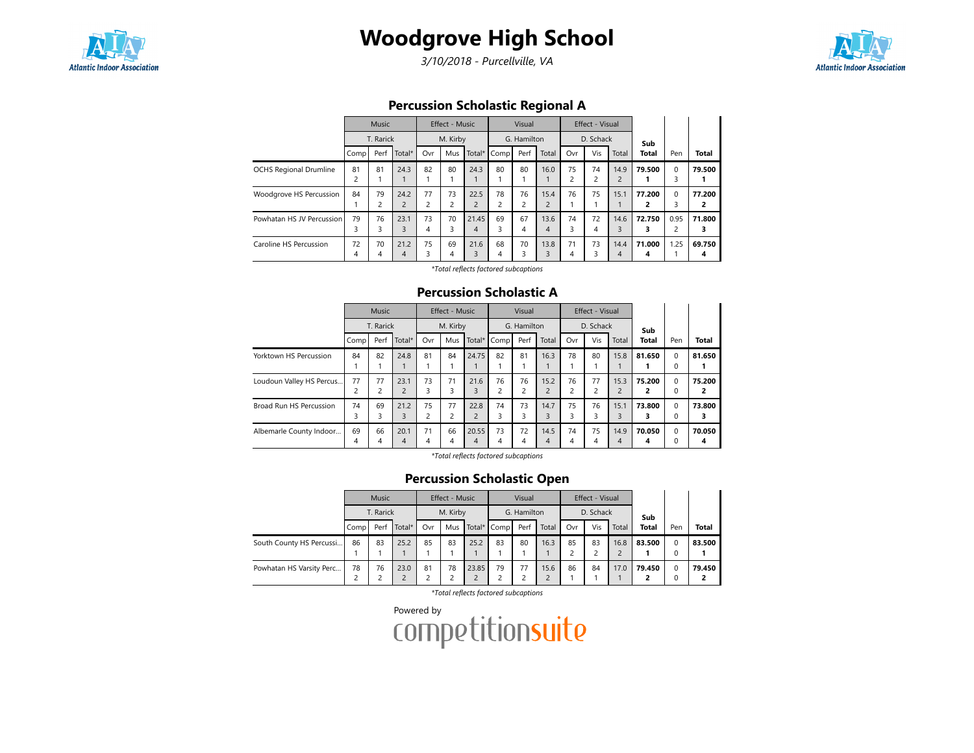

## Woodgrove High School

3/10/2018 - Purcellville, VA



Percussion Scholastic Regional A

|                               | Music                |         |                        | <b>Effect - Music</b> |                      |                        | Visual  |         |                        | Effect - Visual      |                      |                        |             |                        |              |
|-------------------------------|----------------------|---------|------------------------|-----------------------|----------------------|------------------------|---------|---------|------------------------|----------------------|----------------------|------------------------|-------------|------------------------|--------------|
|                               | T. Rarick            |         | M. Kirby               |                       |                      | G. Hamilton            |         |         | D. Schack              |                      |                      | Sub                    |             |                        |              |
|                               | Comp                 | Perf    | Total*                 | Ovr                   | Mus                  | Total $*$              | Comp    | Perf    | Total                  | Ovr                  | Vis                  | Total                  | Total       | Pen                    | <b>Total</b> |
| <b>OCHS Regional Drumline</b> | 81<br>$\overline{c}$ | 81      | 24.3                   | 82                    | 80                   | 24.3                   | 80      | 80      | 16.0                   | 75<br>$\overline{c}$ | 74<br>$\overline{c}$ | 14.9<br>$\overline{c}$ | 79.500      | $\Omega$<br>3          | 79.500       |
| Woodgrove HS Percussion       | 84                   | 79      | 24.2<br>$\overline{2}$ | 77<br>$\overline{2}$  | 73<br>$\overline{c}$ | 22.5<br>$\overline{2}$ | 78<br>2 | 76      | 15.4<br>$\overline{2}$ | 76                   | 75                   | 15.1                   | 77.200<br>2 | $\Omega$<br>3          | 77.200<br>2  |
| Powhatan HS JV Percussion     | 79<br>3              | 76<br>3 | 23.1<br>3              | 73<br>4               | 70<br>3              | 21.45<br>4             | 69<br>3 | 67<br>4 | 13.6<br>4              | 74<br>3              | 72<br>4              | 14.6<br>3              | 72.750<br>3 | 0.95<br>$\overline{c}$ | 71.800       |
| Caroline HS Percussion        | 72<br>4              | 70<br>4 | 21.2<br>4              | 75<br>3               | 69<br>4              | 21.6<br>3              | 68<br>4 | 70<br>3 | 13.8<br>3              | 71<br>4              | 73<br>ς              | 14.4<br>4              | 71.000<br>4 | 1.25                   | 69.750<br>4  |

\*Total reflects factored subcaptions

## Percussion Scholastic A

|                          | Music          |                |                | <b>Effect - Music</b> |                |                | Visual      |                         |                | Effect - Visual |     |                |        |             |              |
|--------------------------|----------------|----------------|----------------|-----------------------|----------------|----------------|-------------|-------------------------|----------------|-----------------|-----|----------------|--------|-------------|--------------|
|                          | T. Rarick      |                | M. Kirby       |                       |                | G. Hamilton    |             |                         | D. Schack      |                 |     | Sub            |        |             |              |
|                          | Comp           | Perf           | Total*         | Ovr                   | Mus            |                | Total* Comp | Perf                    | Total          | Ovr             | Vis | Total          | Total  | Pen         | <b>Total</b> |
| Yorktown HS Percussion   | 84             | 82             | 24.8           | 81                    | 84             | 24.75          | 82          | 81                      | 16.3           | 78              | 80  | 15.8           | 81.650 | $\mathbf 0$ | 81.650       |
|                          |                |                |                |                       |                |                |             |                         |                |                 |     |                |        | 0           |              |
| Loudoun Valley HS Percus | 77             | 77             | 23.1           | 73                    | 71             | 21.6           | 76          | 76                      | 15.2           | 76              | 77  | 15.3           | 75.200 | $\Omega$    | 75.200       |
|                          | $\overline{c}$ | $\overline{c}$ | $\overline{2}$ | 3                     | 3              | 3              | 2           | $\overline{\mathbf{c}}$ | $\overline{2}$ | C               | C   | $\overline{2}$ |        | $\Omega$    | 2            |
| Broad Run HS Percussion  | 74             | 69             | 21.2           | 75                    | 77             | 22.8           | 74          | 73                      | 14.7           | 75              | 76  | 15.1           | 73.800 | $\mathbf 0$ | 73.800       |
|                          | 3              | 3              | 3              | 2                     | $\overline{c}$ | $\overline{c}$ | 3           | 3                       | 3              |                 | 3   | 3              |        | $\Omega$    | 3            |
| Albemarle County Indoor  | 69             | 66             | 20.1           | 71                    | 66             | 20.55          | 73          | 72                      | 14.5           | 74              | 75  | 14.9           | 70.050 | $\Omega$    | 70.050       |
|                          | 4              | 4              | 4              | 4                     | 4              | 4              | 4           | 4                       | 4              | Δ               |     | 4              | 4      | 0           | 4            |

\*Total reflects factored subcaptions

## Percussion Scholastic Open

| <b>Music</b> |      |          | Effect - Music |     |             | Visual |      |             | Effect - Visual |     |       |              |             |              |
|--------------|------|----------|----------------|-----|-------------|--------|------|-------------|-----------------|-----|-------|--------------|-------------|--------------|
| T. Rarick    |      | M. Kirby |                |     | G. Hamilton |        |      | D. Schack   |                 |     | Sub   |              |             |              |
| Comp         | Perf | Total*   | Ovr            | Mus |             |        | Perf | Total       | Ovr             | Vis | Total | <b>Total</b> | Pen         | <b>Total</b> |
| 86           | 83   | 25.2     | 85             | 83  | 25.2        | 83     | 80   | 16.3        | 85              | 83  | 16.8  | 83.500       | $\mathbf 0$ | 83.500       |
|              |      |          |                |     |             |        |      |             |                 |     |       |              | 0           |              |
| 78           | 76   | 23.0     | 81             | 78  | 23.85       | 79     | 77   | 15.6        | 86              | 84  | 17.0  | 79.450       | $\Omega$    | 79.450       |
|              |      |          |                |     |             |        |      | Total* Comp |                 |     |       |              |             |              |

\*Total reflects factored subcaptions